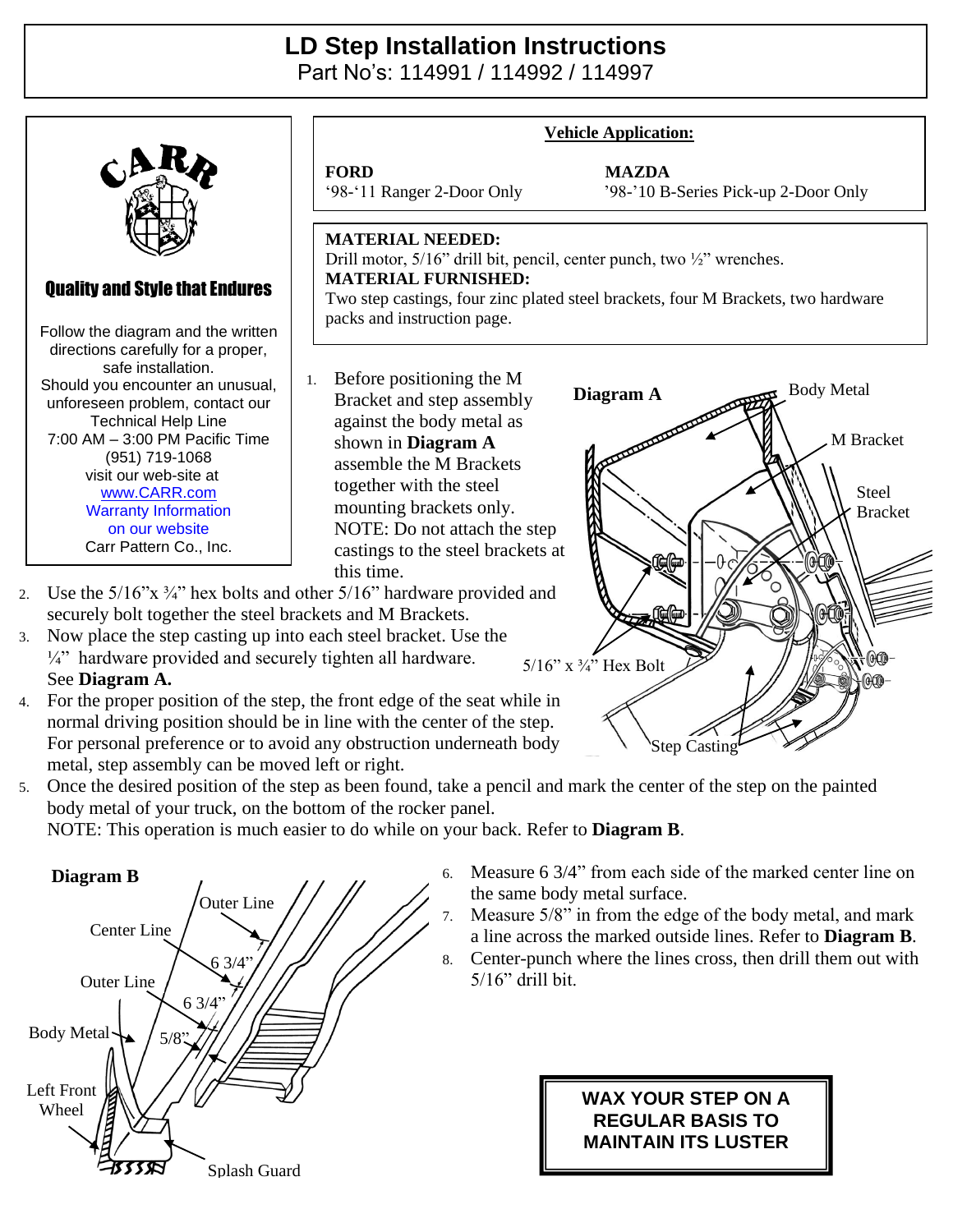## **LD Step Installation Instructions**

Part No's: 114991 / 114992 / 114997



- $\frac{1}{4}$ " hardware provided and securely tighten all hardware. See **Diagram A.**
- 4. For the proper position of the step, the front edge of the seat while in normal driving position should be in line with the center of the step. For personal preference or to avoid any obstruction underneath body metal, step assembly can be moved left or right.
- 5. Once the desired position of the step as been found, take a pencil and mark the center of the step on the painted body metal of your truck, on the bottom of the rocker panel.

NOTE: This operation is much easier to do while on your back. Refer to **Diagram B**.



6. Measure 6 3/4" from each side of the marked center line on the same body metal surface.

Step Casting

5/16" x ¾" Hex Bolt

- 7. Measure 5/8" in from the edge of the body metal, and mark a line across the marked outside lines. Refer to **Diagram B**.
- 8. Center-punch where the lines cross, then drill them out with 5/16" drill bit.

## **WAX YOUR STEP ON A REGULAR BASIS TO MAINTAIN ITS LUSTER**